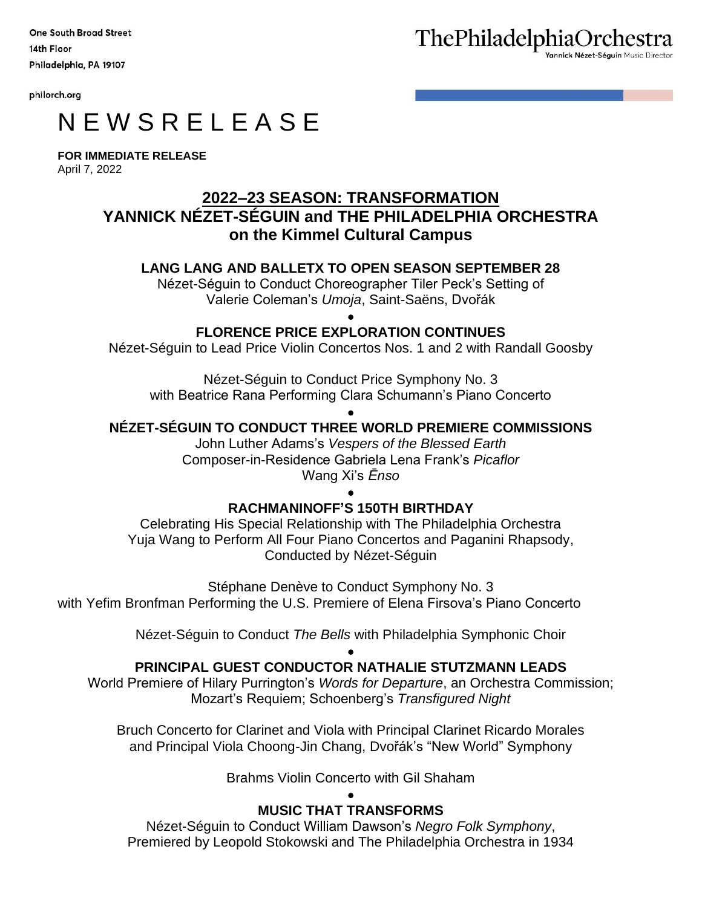**One South Broad Street** 14th Floor Philadelphia, PA 19107

philorch.org

# N E W S R E L E A S E

**FOR IMMEDIATE RELEASE** April 7, 2022

# **2022–23 SEASON: TRANSFORMATION YANNICK NÉZET-SÉGUIN and THE PHILADELPHIA ORCHESTRA on the Kimmel Cultural Campus**

# **LANG LANG AND BALLETX TO OPEN SEASON SEPTEMBER 28**

Nézet-Séguin to Conduct Choreographer Tiler Peck's Setting of Valerie Coleman's *Umoja*, Saint-Saëns, Dvořák

> • **FLORENCE PRICE EXPLORATION CONTINUES**

Nézet-Séguin to Lead Price Violin Concertos Nos. 1 and 2 with Randall Goosby

Nézet-Séguin to Conduct Price Symphony No. 3 with Beatrice Rana Performing Clara Schumann's Piano Concerto

## • **NÉZET-SÉGUIN TO CONDUCT THREE WORLD PREMIERE COMMISSIONS**

John Luther Adams's *Vespers of the Blessed Earth* Composer-in-Residence Gabriela Lena Frank's *Picaflor* Wang Xi's *Ēnso*

# •

# **RACHMANINOFF'S 150TH BIRTHDAY**

Celebrating His Special Relationship with The Philadelphia Orchestra Yuja Wang to Perform All Four Piano Concertos and Paganini Rhapsody, Conducted by Nézet-Séguin

Stéphane Denève to Conduct Symphony No. 3 with Yefim Bronfman Performing the U.S. Premiere of Elena Firsova's Piano Concerto

Nézet-Séguin to Conduct *The Bells* with Philadelphia Symphonic Choir

## • **PRINCIPAL GUEST CONDUCTOR NATHALIE STUTZMANN LEADS**

World Premiere of Hilary Purrington's *Words for Departure*, an Orchestra Commission; Mozart's Requiem; Schoenberg's *Transfigured Night*

Bruch Concerto for Clarinet and Viola with Principal Clarinet Ricardo Morales and Principal Viola Choong-Jin Chang, Dvořák's "New World" Symphony

Brahms Violin Concerto with Gil Shaham

#### • **MUSIC THAT TRANSFORMS**

Nézet-Séguin to Conduct William Dawson's *Negro Folk Symphony*, Premiered by Leopold Stokowski and The Philadelphia Orchestra in 1934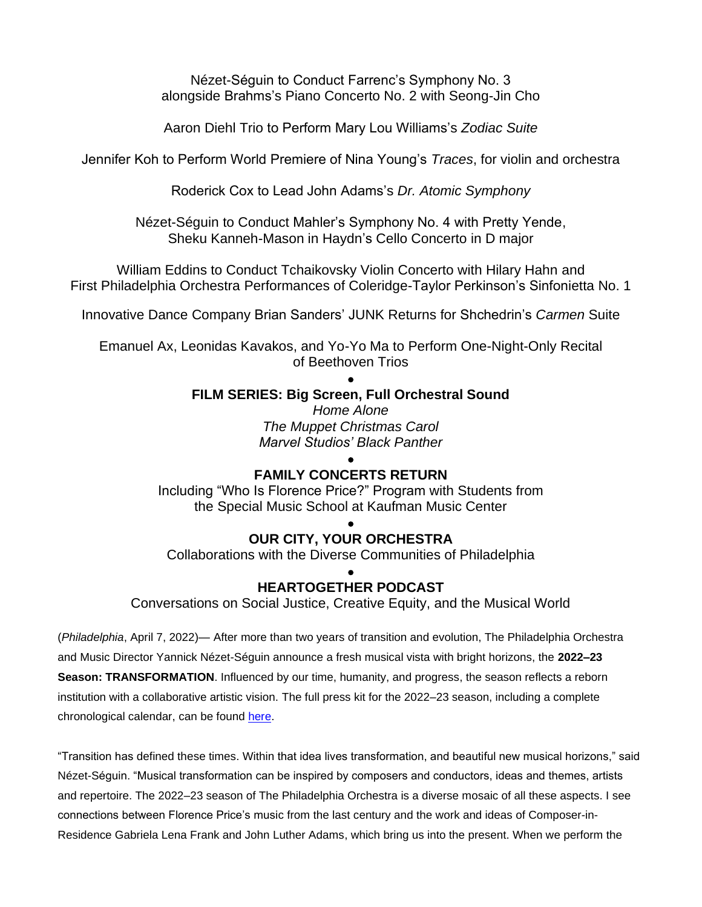Nézet-Séguin to Conduct Farrenc's Symphony No. 3 alongside Brahms's Piano Concerto No. 2 with Seong-Jin Cho

Aaron Diehl Trio to Perform Mary Lou Williams's *Zodiac Suite*

Jennifer Koh to Perform World Premiere of Nina Young's *Traces*, for violin and orchestra

Roderick Cox to Lead John Adams's *Dr. Atomic Symphony*

Nézet-Séguin to Conduct Mahler's Symphony No. 4 with Pretty Yende, Sheku Kanneh-Mason in Haydn's Cello Concerto in D major

William Eddins to Conduct Tchaikovsky Violin Concerto with Hilary Hahn and First Philadelphia Orchestra Performances of Coleridge-Taylor Perkinson's Sinfonietta No. 1

Innovative Dance Company Brian Sanders' JUNK Returns for Shchedrin's *Carmen* Suite

Emanuel Ax, Leonidas Kavakos, and Yo-Yo Ma to Perform One-Night-Only Recital of Beethoven Trios

#### • **FILM SERIES: Big Screen, Full Orchestral Sound**

*Home Alone The Muppet Christmas Carol Marvel Studios' Black Panther*

## • **FAMILY CONCERTS RETURN**

Including "Who Is Florence Price?" Program with Students from the Special Music School at Kaufman Music Center

#### • **OUR CITY, YOUR ORCHESTRA**

Collaborations with the Diverse Communities of Philadelphia

#### • **HEARTOGETHER PODCAST**

Conversations on Social Justice, Creative Equity, and the Musical World

(*Philadelphia*, April 7, 2022)— After more than two years of transition and evolution, The Philadelphia Orchestra and Music Director Yannick Nézet-Séguin announce a fresh musical vista with bright horizons, the **2022–23 Season: TRANSFORMATION**. Influenced by our time, humanity, and progress, the season reflects a reborn institution with a collaborative artistic vision. The full press kit for the 2022–23 season, including a complete chronological calendar, can be found [here.](https://www.philorch.org/globalassets/philadelphia-orchestra/press-room/2022-23-season/22-23-season-chron.pdf)

"Transition has defined these times. Within that idea lives transformation, and beautiful new musical horizons," said Nézet-Séguin. "Musical transformation can be inspired by composers and conductors, ideas and themes, artists and repertoire. The 2022–23 season of The Philadelphia Orchestra is a diverse mosaic of all these aspects. I see connections between Florence Price's music from the last century and the work and ideas of Composer-in-Residence Gabriela Lena Frank and John Luther Adams, which bring us into the present. When we perform the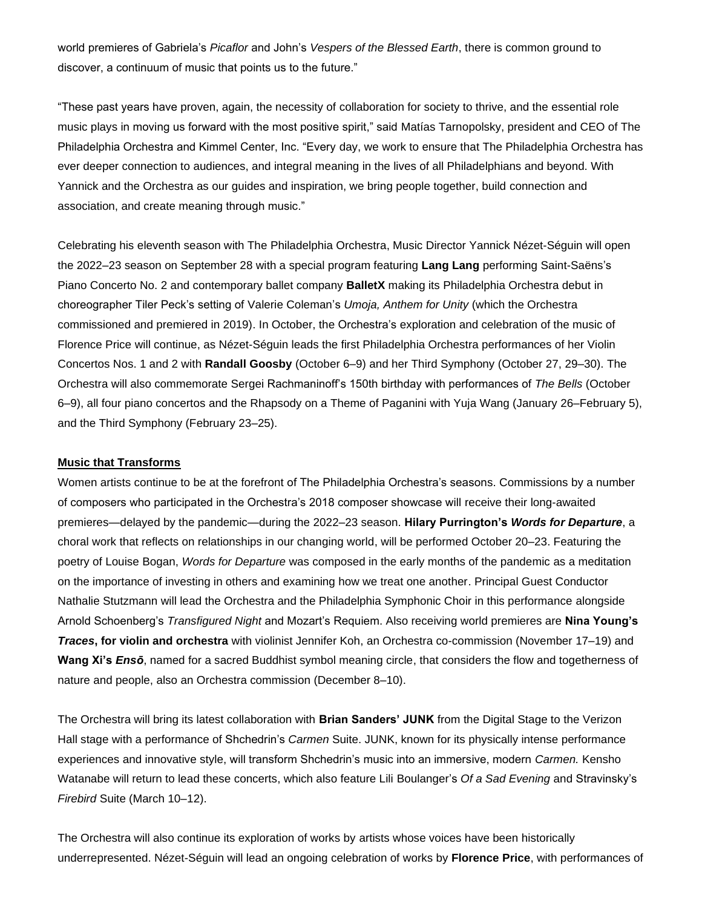world premieres of Gabriela's *Picaflor* and John's *Vespers of the Blessed Earth*, there is common ground to discover, a continuum of music that points us to the future."

"These past years have proven, again, the necessity of collaboration for society to thrive, and the essential role music plays in moving us forward with the most positive spirit," said Matías Tarnopolsky, president and CEO of The Philadelphia Orchestra and Kimmel Center, Inc. "Every day, we work to ensure that The Philadelphia Orchestra has ever deeper connection to audiences, and integral meaning in the lives of all Philadelphians and beyond. With Yannick and the Orchestra as our guides and inspiration, we bring people together, build connection and association, and create meaning through music."

Celebrating his eleventh season with The Philadelphia Orchestra, Music Director Yannick Nézet-Séguin will open the 2022–23 season on September 28 with a special program featuring **Lang Lang** performing Saint-Saëns's Piano Concerto No. 2 and contemporary ballet company **BalletX** making its Philadelphia Orchestra debut in choreographer Tiler Peck's setting of Valerie Coleman's *Umoja, Anthem for Unity* (which the Orchestra commissioned and premiered in 2019). In October, the Orchestra's exploration and celebration of the music of Florence Price will continue, as Nézet-Séguin leads the first Philadelphia Orchestra performances of her Violin Concertos Nos. 1 and 2 with **Randall Goosby** (October 6–9) and her Third Symphony (October 27, 29–30). The Orchestra will also commemorate Sergei Rachmaninoff's 150th birthday with performances of *The Bells* (October 6–9), all four piano concertos and the Rhapsody on a Theme of Paganini with Yuja Wang (January 26–February 5), and the Third Symphony (February 23–25).

#### **Music that Transforms**

Women artists continue to be at the forefront of The Philadelphia Orchestra's seasons. Commissions by a number of composers who participated in the Orchestra's 2018 composer showcase will receive their long-awaited premieres—delayed by the pandemic—during the 2022–23 season. **Hilary Purrington's** *Words for Departure*, a choral work that reflects on relationships in our changing world, will be performed October 20–23. Featuring the poetry of Louise Bogan, *Words for Departure* was composed in the early months of the pandemic as a meditation on the importance of investing in others and examining how we treat one another. Principal Guest Conductor Nathalie Stutzmann will lead the Orchestra and the Philadelphia Symphonic Choir in this performance alongside Arnold Schoenberg's *Transfigured Night* and Mozart's Requiem. Also receiving world premieres are **Nina Young's**  *Traces***, for violin and orchestra** with violinist Jennifer Koh, an Orchestra co-commission (November 17–19) and **Wang Xi's** *Ensō*, named for a sacred Buddhist symbol meaning circle, that considers the flow and togetherness of nature and people, also an Orchestra commission (December 8–10).

The Orchestra will bring its latest collaboration with **Brian Sanders' JUNK** from the Digital Stage to the Verizon Hall stage with a performance of Shchedrin's *Carmen* Suite. JUNK, known for its physically intense performance experiences and innovative style, will transform Shchedrin's music into an immersive, modern *Carmen.* Kensho Watanabe will return to lead these concerts, which also feature Lili Boulanger's *Of a Sad Evening* and Stravinsky's *Firebird* Suite (March 10–12).

The Orchestra will also continue its exploration of works by artists whose voices have been historically underrepresented. Nézet-Séguin will lead an ongoing celebration of works by **Florence Price**, with performances of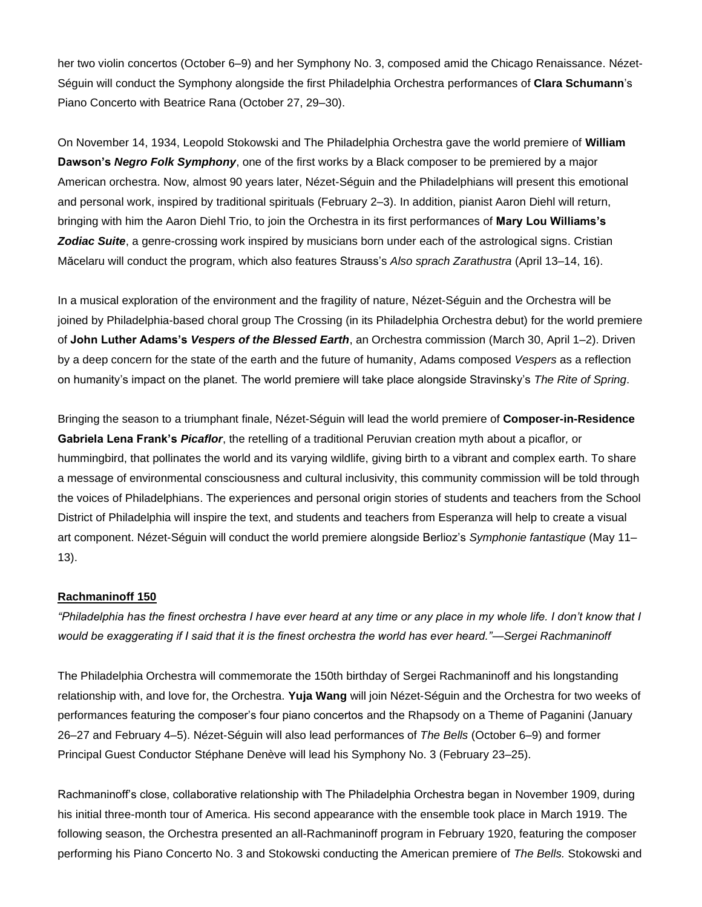her two violin concertos (October 6–9) and her Symphony No. 3, composed amid the Chicago Renaissance. Nézet-Séguin will conduct the Symphony alongside the first Philadelphia Orchestra performances of **Clara Schumann**'s Piano Concerto with Beatrice Rana (October 27, 29–30).

On November 14, 1934, Leopold Stokowski and The Philadelphia Orchestra gave the world premiere of **William Dawson's** *Negro Folk Symphony*, one of the first works by a Black composer to be premiered by a major American orchestra. Now, almost 90 years later, Nézet-Séguin and the Philadelphians will present this emotional and personal work, inspired by traditional spirituals (February 2–3). In addition, pianist Aaron Diehl will return, bringing with him the Aaron Diehl Trio, to join the Orchestra in its first performances of **Mary Lou Williams's**  *Zodiac Suite*, a genre-crossing work inspired by musicians born under each of the astrological signs. Cristian Măcelaru will conduct the program, which also features Strauss's *Also sprach Zarathustra* (April 13–14, 16).

In a musical exploration of the environment and the fragility of nature, Nézet-Séguin and the Orchestra will be joined by Philadelphia-based choral group The Crossing (in its Philadelphia Orchestra debut) for the world premiere of **John Luther Adams's** *Vespers of the Blessed Earth*, an Orchestra commission (March 30, April 1–2). Driven by a deep concern for the state of the earth and the future of humanity, Adams composed *Vespers* as a reflection on humanity's impact on the planet. The world premiere will take place alongside Stravinsky's *The Rite of Spring*.

Bringing the season to a triumphant finale, Nézet-Séguin will lead the world premiere of **Composer-in-Residence Gabriela Lena Frank's** *Picaflor*, the retelling of a traditional Peruvian creation myth about a picaflor*,* or hummingbird, that pollinates the world and its varying wildlife, giving birth to a vibrant and complex earth. To share a message of environmental consciousness and cultural inclusivity, this community commission will be told through the voices of Philadelphians. The experiences and personal origin stories of students and teachers from the School District of Philadelphia will inspire the text, and students and teachers from Esperanza will help to create a visual art component. Nézet-Séguin will conduct the world premiere alongside Berlioz's *Symphonie fantastique* (May 11– 13).

#### **Rachmaninoff 150**

*"Philadelphia has the finest orchestra I have ever heard at any time or any place in my whole life. I don't know that I would be exaggerating if I said that it is the finest orchestra the world has ever heard."—Sergei Rachmaninoff* 

The Philadelphia Orchestra will commemorate the 150th birthday of Sergei Rachmaninoff and his longstanding relationship with, and love for, the Orchestra. **Yuja Wang** will join Nézet-Séguin and the Orchestra for two weeks of performances featuring the composer's four piano concertos and the Rhapsody on a Theme of Paganini (January 26–27 and February 4–5). Nézet-Séguin will also lead performances of *The Bells* (October 6–9) and former Principal Guest Conductor Stéphane Denève will lead his Symphony No. 3 (February 23–25).

Rachmaninoff's close, collaborative relationship with The Philadelphia Orchestra began in November 1909, during his initial three-month tour of America. His second appearance with the ensemble took place in March 1919. The following season, the Orchestra presented an all-Rachmaninoff program in February 1920, featuring the composer performing his Piano Concerto No. 3 and Stokowski conducting the American premiere of *The Bells.* Stokowski and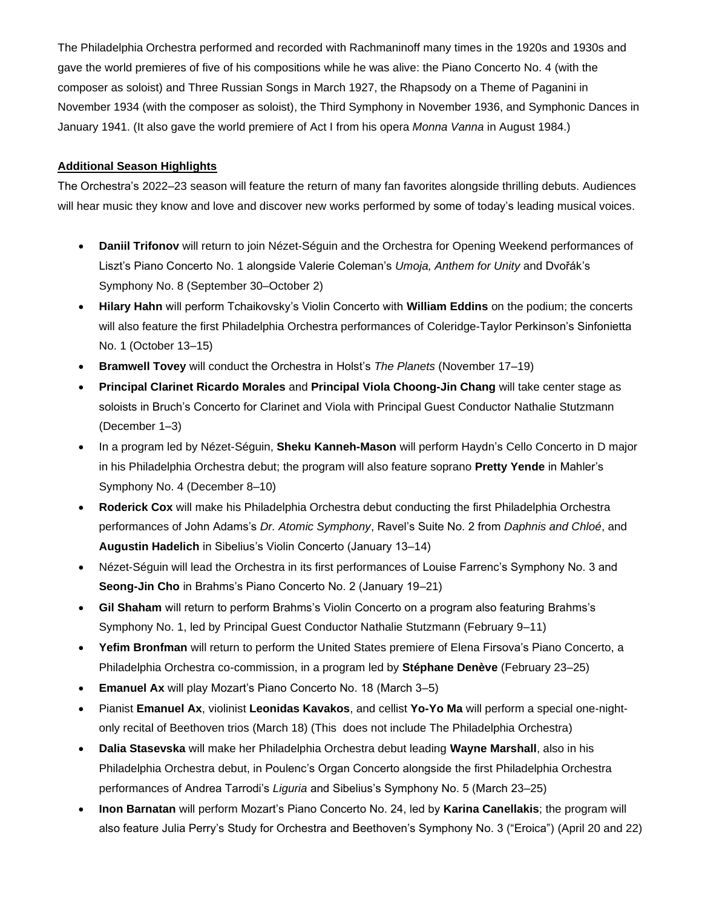The Philadelphia Orchestra performed and recorded with Rachmaninoff many times in the 1920s and 1930s and gave the world premieres of five of his compositions while he was alive: the Piano Concerto No. 4 (with the composer as soloist) and Three Russian Songs in March 1927, the Rhapsody on a Theme of Paganini in November 1934 (with the composer as soloist), the Third Symphony in November 1936, and Symphonic Dances in January 1941. (It also gave the world premiere of Act I from his opera *Monna Vanna* in August 1984.)

#### **Additional Season Highlights**

The Orchestra's 2022–23 season will feature the return of many fan favorites alongside thrilling debuts. Audiences will hear music they know and love and discover new works performed by some of today's leading musical voices.

- **Daniil Trifonov** will return to join Nézet-Séguin and the Orchestra for Opening Weekend performances of Liszt's Piano Concerto No. 1 alongside Valerie Coleman's *Umoja, Anthem for Unity* and Dvořák's Symphony No. 8 (September 30–October 2)
- **Hilary Hahn** will perform Tchaikovsky's Violin Concerto with **William Eddins** on the podium; the concerts will also feature the first Philadelphia Orchestra performances of Coleridge-Taylor Perkinson's Sinfonietta No. 1 (October 13–15)
- **Bramwell Tovey** will conduct the Orchestra in Holst's *The Planets* (November 17–19)
- **Principal Clarinet Ricardo Morales** and **Principal Viola Choong-Jin Chang** will take center stage as soloists in Bruch's Concerto for Clarinet and Viola with Principal Guest Conductor Nathalie Stutzmann (December 1–3)
- In a program led by Nézet-Séguin, **Sheku Kanneh-Mason** will perform Haydn's Cello Concerto in D major in his Philadelphia Orchestra debut; the program will also feature soprano **Pretty Yende** in Mahler's Symphony No. 4 (December 8–10)
- **Roderick Cox** will make his Philadelphia Orchestra debut conducting the first Philadelphia Orchestra performances of John Adams's *Dr. Atomic Symphony*, Ravel's Suite No. 2 from *Daphnis and Chloé*, and **Augustin Hadelich** in Sibelius's Violin Concerto (January 13–14)
- Nézet-Séguin will lead the Orchestra in its first performances of Louise Farrenc's Symphony No. 3 and **Seong-Jin Cho** in Brahms's Piano Concerto No. 2 (January 19–21)
- **Gil Shaham** will return to perform Brahms's Violin Concerto on a program also featuring Brahms's Symphony No. 1, led by Principal Guest Conductor Nathalie Stutzmann (February 9–11)
- **Yefim Bronfman** will return to perform the United States premiere of Elena Firsova's Piano Concerto, a Philadelphia Orchestra co-commission, in a program led by **Stéphane Denève** (February 23–25)
- **Emanuel Ax** will play Mozart's Piano Concerto No. 18 (March 3-5)
- Pianist **Emanuel Ax**, violinist **Leonidas Kavakos**, and cellist **Yo-Yo Ma** will perform a special one-nightonly recital of Beethoven trios (March 18) (This does not include The Philadelphia Orchestra)
- **Dalia Stasevska** will make her Philadelphia Orchestra debut leading **Wayne Marshall**, also in his Philadelphia Orchestra debut, in Poulenc's Organ Concerto alongside the first Philadelphia Orchestra performances of Andrea Tarrodi's *Liguria* and Sibelius's Symphony No. 5 (March 23–25)
- **Inon Barnatan** will perform Mozart's Piano Concerto No. 24, led by **Karina Canellakis**; the program will also feature Julia Perry's Study for Orchestra and Beethoven's Symphony No. 3 ("Eroica") (April 20 and 22)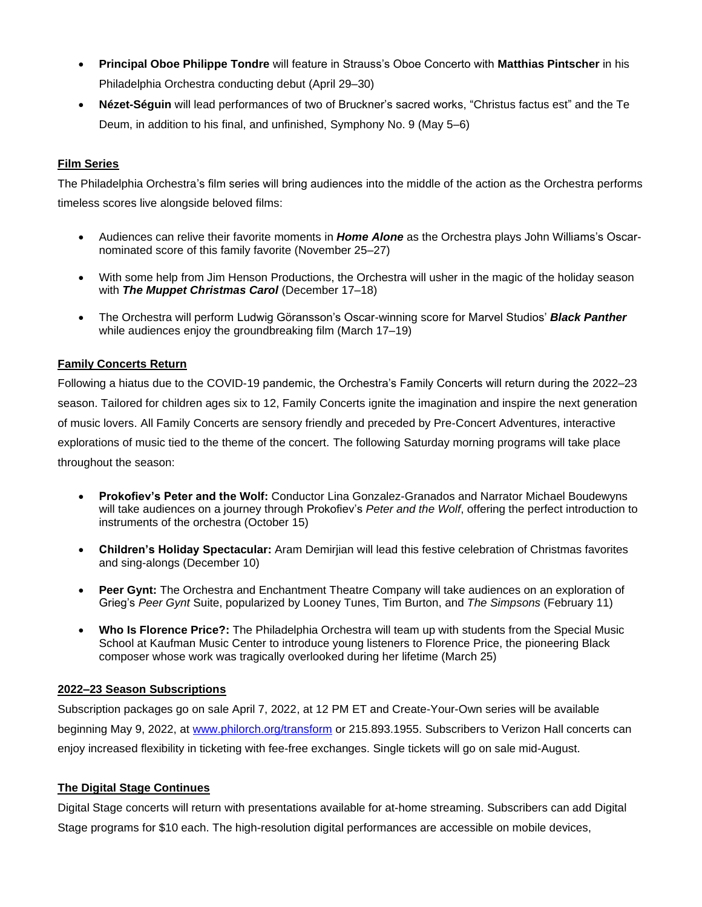- **Principal Oboe Philippe Tondre** will feature in Strauss's Oboe Concerto with **Matthias Pintscher** in his Philadelphia Orchestra conducting debut (April 29–30)
- **Nézet-Séguin** will lead performances of two of Bruckner's sacred works, "Christus factus est" and the Te Deum, in addition to his final, and unfinished, Symphony No. 9 (May 5–6)

### **Film Series**

The Philadelphia Orchestra's film series will bring audiences into the middle of the action as the Orchestra performs timeless scores live alongside beloved films:

- Audiences can relive their favorite moments in *Home Alone* as the Orchestra plays John Williams's Oscarnominated score of this family favorite (November 25–27)
- With some help from Jim Henson Productions, the Orchestra will usher in the magic of the holiday season with *The Muppet Christmas Carol* (December 17–18)
- The Orchestra will perform Ludwig Göransson's Oscar-winning score for Marvel Studios' *Black Panther* while audiences enjoy the groundbreaking film (March 17–19)

#### **Family Concerts Return**

Following a hiatus due to the COVID-19 pandemic, the Orchestra's Family Concerts will return during the 2022–23 season. Tailored for children ages six to 12, Family Concerts ignite the imagination and inspire the next generation of music lovers. All Family Concerts are sensory friendly and preceded by Pre-Concert Adventures, interactive explorations of music tied to the theme of the concert. The following Saturday morning programs will take place throughout the season:

- **Prokofiev's Peter and the Wolf:** Conductor Lina Gonzalez-Granados and Narrator Michael Boudewyns will take audiences on a journey through Prokofiev's *Peter and the Wolf*, offering the perfect introduction to instruments of the orchestra (October 15)
- **Children's Holiday Spectacular:** Aram Demirjian will lead this festive celebration of Christmas favorites and sing-alongs (December 10)
- **Peer Gynt:** The Orchestra and Enchantment Theatre Company will take audiences on an exploration of Grieg's *Peer Gynt* Suite, popularized by Looney Tunes, Tim Burton, and *The Simpsons* (February 11)
- **Who Is Florence Price?:** The Philadelphia Orchestra will team up with students from the Special Music School at Kaufman Music Center to introduce young listeners to Florence Price, the pioneering Black composer whose work was tragically overlooked during her lifetime (March 25)

#### **2022–23 Season Subscriptions**

Subscription packages go on sale April 7, 2022, at 12 PM ET and Create-Your-Own series will be available beginning May 9, 2022, at [www.philorch.org/transform](http://www.philorch.org/transform) or 215.893.1955. Subscribers to Verizon Hall concerts can enjoy increased flexibility in ticketing with fee-free exchanges. Single tickets will go on sale mid-August.

#### **The Digital Stage Continues**

Digital Stage concerts will return with presentations available for at-home streaming. Subscribers can add Digital Stage programs for \$10 each. The high-resolution digital performances are accessible on mobile devices,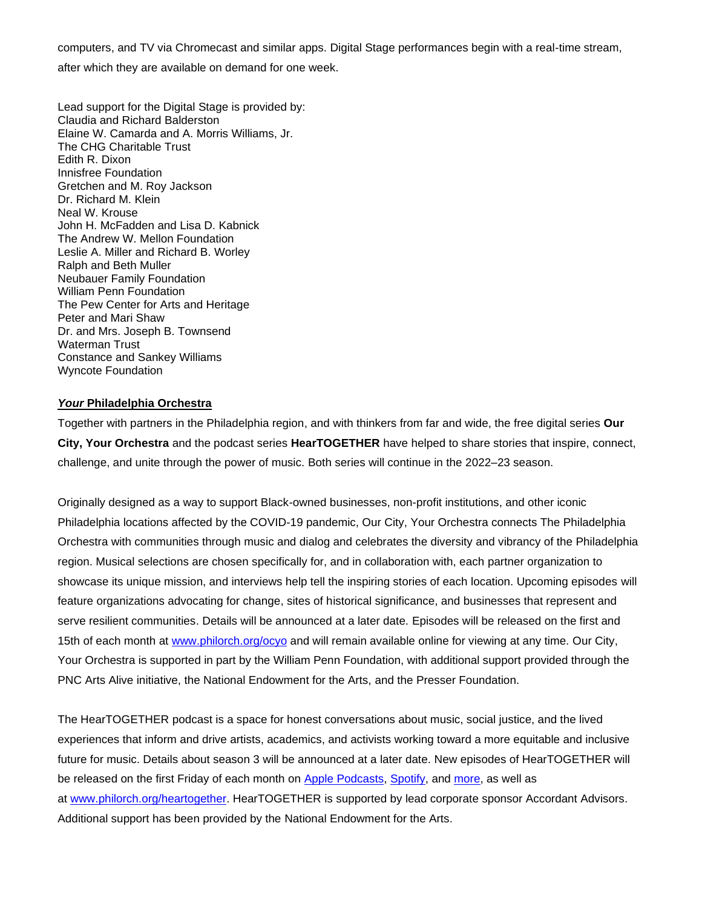computers, and TV via Chromecast and similar apps. Digital Stage performances begin with a real-time stream,

after which they are available on demand for one week.

Lead support for the Digital Stage is provided by: Claudia and Richard Balderston Elaine W. Camarda and A. Morris Williams, Jr. The CHG Charitable Trust Edith R. Dixon Innisfree Foundation Gretchen and M. Roy Jackson Dr. Richard M. Klein Neal W. Krouse John H. McFadden and Lisa D. Kabnick The Andrew W. Mellon Foundation Leslie A. Miller and Richard B. Worley Ralph and Beth Muller Neubauer Family Foundation William Penn Foundation The Pew Center for Arts and Heritage Peter and Mari Shaw Dr. and Mrs. Joseph B. Townsend Waterman Trust Constance and Sankey Williams Wyncote Foundation

#### *Your* **Philadelphia Orchestra**

Together with partners in the Philadelphia region, and with thinkers from far and wide, the free digital series **Our City, Your Orchestra** and the podcast series **HearTOGETHER** have helped to share stories that inspire, connect, challenge, and unite through the power of music. Both series will continue in the 2022–23 season.

Originally designed as a way to support Black-owned businesses, non-profit institutions, and other iconic Philadelphia locations affected by the COVID-19 pandemic, Our City, Your Orchestra connects The Philadelphia Orchestra with communities through music and dialog and celebrates the diversity and vibrancy of the Philadelphia region. Musical selections are chosen specifically for, and in collaboration with, each partner organization to showcase its unique mission, and interviews help tell the inspiring stories of each location. Upcoming episodes will feature organizations advocating for change, sites of historical significance, and businesses that represent and serve resilient communities. Details will be announced at a later date. Episodes will be released on the first and 15th of each month at [www.philorch.org/ocyo](http://www.philorch.org/ocyo) and will remain available online for viewing at any time. Our City, Your Orchestra is supported in part by the William Penn Foundation, with additional support provided through the PNC Arts Alive initiative, the National Endowment for the Arts, and the Presser Foundation.

The HearTOGETHER podcast is a space for honest conversations about music, social justice, and the lived experiences that inform and drive artists, academics, and activists working toward a more equitable and inclusive future for music. Details about season 3 will be announced at a later date. New episodes of HearTOGETHER will be released on the first Friday of each month on [Apple Podcasts,](https://podcasts.apple.com/us/podcast/heartogether-podcast/id1533149053) [Spotify,](https://open.spotify.com/show/6ZUpgRFsWBbBqKh1NYlzNl) and [more,](https://www.buzzsprout.com/1364857) as well as at [www.philorch.org/heartogether.](https://www.philorch.org/your-philorch/learn-more/heartogether/) HearTOGETHER is supported by lead corporate sponsor Accordant Advisors. Additional support has been provided by the National Endowment for the Arts.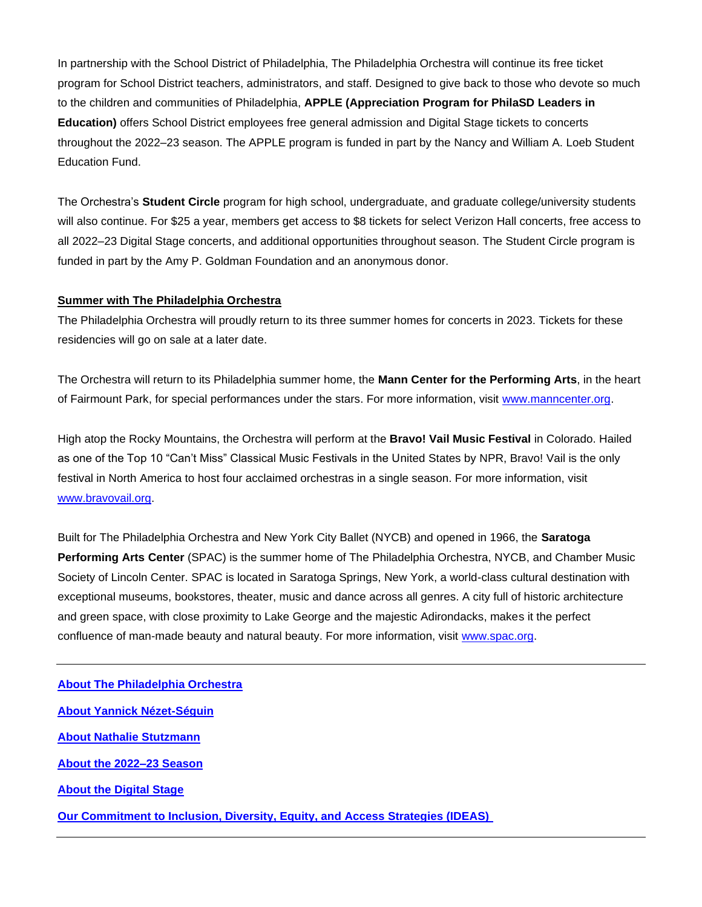In partnership with the School District of Philadelphia, The Philadelphia Orchestra will continue its free ticket program for School District teachers, administrators, and staff. Designed to give back to those who devote so much to the children and communities of Philadelphia, **APPLE (Appreciation Program for PhilaSD Leaders in Education)** offers School District employees free general admission and Digital Stage tickets to concerts throughout the 2022–23 season. The APPLE program is funded in part by the Nancy and William A. Loeb Student Education Fund.

The Orchestra's **Student Circle** program for high school, undergraduate, and graduate college/university students will also continue. For \$25 a year, members get access to \$8 tickets for select Verizon Hall concerts, free access to all 2022–23 Digital Stage concerts, and additional opportunities throughout season. The Student Circle program is funded in part by the Amy P. Goldman Foundation and an anonymous donor.

#### **Summer with The Philadelphia Orchestra**

The Philadelphia Orchestra will proudly return to its three summer homes for concerts in 2023. Tickets for these residencies will go on sale at a later date.

The Orchestra will return to its Philadelphia summer home, the **Mann Center for the Performing Arts**, in the heart of Fairmount Park, for special performances under the stars. For more information, visit [www.manncenter.org.](http://www.manncenter.org/)

High atop the Rocky Mountains, the Orchestra will perform at the **Bravo! Vail Music Festival** in Colorado. Hailed as one of the Top 10 "Can't Miss" Classical Music Festivals in the United States by NPR, Bravo! Vail is the only festival in North America to host four acclaimed orchestras in a single season. For more information, visit [www.bravovail.org.](http://www.bravovail.org/)

Built for The Philadelphia Orchestra and New York City Ballet (NYCB) and opened in 1966, the **Saratoga Performing Arts Center** (SPAC) is the summer home of The Philadelphia Orchestra, NYCB, and Chamber Music Society of Lincoln Center. SPAC is located in Saratoga Springs, New York, a world-class cultural destination with exceptional museums, bookstores, theater, music and dance across all genres. A city full of historic architecture and green space, with close proximity to Lake George and the majestic Adirondacks, makes it the perfect confluence of man-made beauty and natural beauty. For more information, visit [www.spac.org.](http://www.spac.org/)

**[About The Philadelphia Orchestra](https://www.philorch.org/your-philorch/meet-your-orchestra/) [About Yannick Nézet-Séguin](https://www.philorch.org/your-philorch/meet-your-orchestra/conductors/yannick-nezet-seguin/) [About Nathalie Stutzmann](https://www.philorch.org/your-philorch/meet-your-orchestra/conductors/nathalie-stutzmann/) [About the 2022–23 Season](https://www.philorch.org/transform)  About the [Digital Stage](https://www.philorch.org/performances/our-season/digital-stage/) [Our Commitment to Inclusion, Diversity, Equity, and Access Strategies \(IDEAS\)](https://www.philorch.org/your-philorch/learn-more/inclusion-diversity-equity-and-access-strategies/)**